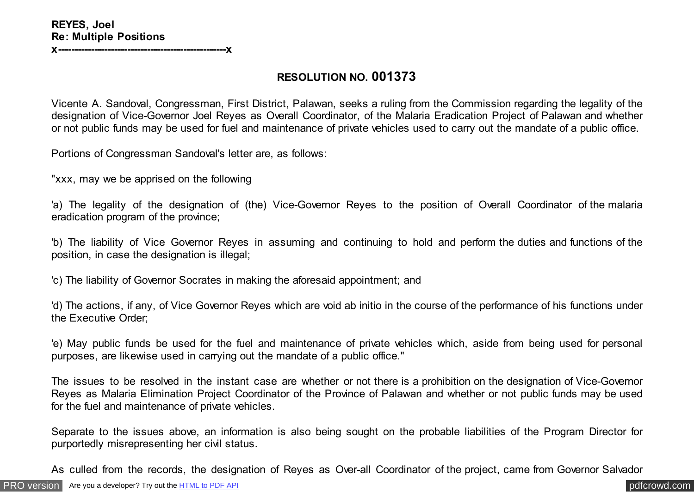## **RESOLUTION NO. 001373**

Vicente A. Sandoval, Congressman, First District, Palawan, seeks a ruling from the Commission regarding the legality of the designation of Vice-Governor Joel Reyes as Overall Coordinator, of the Malaria Eradication Project of Palawan and whether or not public funds may be used for fuel and maintenance of private vehicles used to carry out the mandate of a public office.

Portions of Congressman Sandoval's letter are, as follows:

"xxx, may we be apprised on the following

'a) The legality of the designation of (the) Vice-Governor Reyes to the position of Overall Coordinator of the malaria eradication program of the province;

'b) The liability of Vice Governor Reyes in assuming and continuing to hold and perform the duties and functions of the position, in case the designation is illegal;

'c) The liability of Governor Socrates in making the aforesaid appointment; and

'd) The actions, if any, of Vice Governor Reyes which are void ab initio in the course of the performance of his functions under the Executive Order;

'e) May public funds be used for the fuel and maintenance of private vehicles which, aside from being used for personal purposes, are likewise used in carrying out the mandate of a public office."

The issues to be resolved in the instant case are whether or not there is a prohibition on the designation of Vice-Governor Reyes as Malaria Elimination Project Coordinator of the Province of Palawan and whether or not public funds may be used for the fuel and maintenance of private vehicles.

Separate to the issues above, an information is also being sought on the probable liabilities of the Program Director for purportedly misrepresenting her civil status.

As culled from the records, the designation of Reyes as Over-all Coordinator of the project, came from Governor Salvador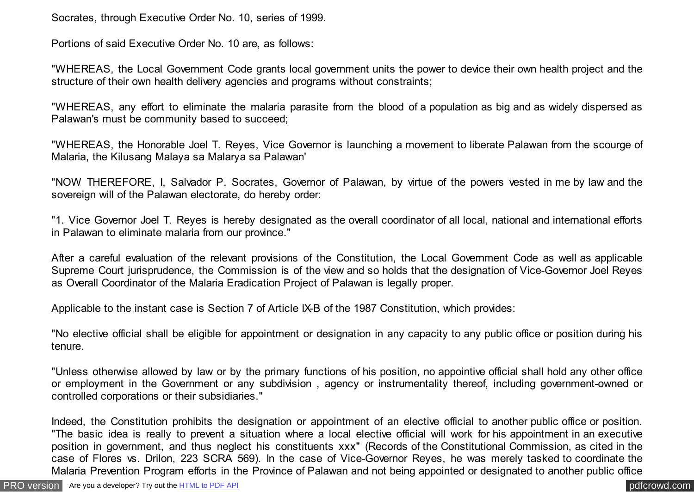Socrates, through Executive Order No. 10, series of 1999.

Portions of said Executive Order No. 10 are, as follows:

"WHEREAS, the Local Government Code grants local government units the power to device their own health project and the structure of their own health delivery agencies and programs without constraints;

"WHEREAS, any effort to eliminate the malaria parasite from the blood of a population as big and as widely dispersed as Palawan's must be community based to succeed;

"WHEREAS, the Honorable Joel T. Reyes, Vice Governor is launching a movement to liberate Palawan from the scourge of Malaria, the Kilusang Malaya sa Malarya sa Palawan'

"NOW THEREFORE, I, Salvador P. Socrates, Governor of Palawan, by virtue of the powers vested in me by law and the sovereign will of the Palawan electorate, do hereby order:

"1. Vice Governor Joel T. Reyes is hereby designated as the overall coordinator of all local, national and international efforts in Palawan to eliminate malaria from our province."

After a careful evaluation of the relevant provisions of the Constitution, the Local Government Code as well as applicable Supreme Court jurisprudence, the Commission is of the view and so holds that the designation of Vice-Governor Joel Reyes as Overall Coordinator of the Malaria Eradication Project of Palawan is legally proper.

Applicable to the instant case is Section 7 of Article IX-B of the 1987 Constitution, which provides:

"No elective official shall be eligible for appointment or designation in any capacity to any public office or position during his tenure.

"Unless otherwise allowed by law or by the primary functions of his position, no appointive official shall hold any other office or employment in the Government or any subdivision , agency or instrumentality thereof, including government-owned or controlled corporations or their subsidiaries."

Indeed, the Constitution prohibits the designation or appointment of an elective official to another public office or position. "The basic idea is really to prevent a situation where a local elective official will work for his appointment in an executive position in government, and thus neglect his constituents xxx" (Records of the Constitutional Commission, as cited in the case of Flores vs. Drilon, 223 SCRA 569). In the case of Vice-Governor Reyes, he was merely tasked to coordinate the Malaria Prevention Program efforts in the Province of Palawan and not being appointed or designated to another public office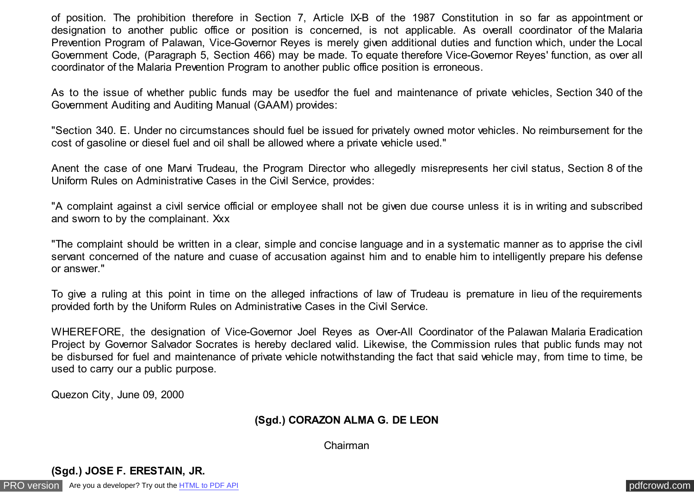of position. The prohibition therefore in Section 7, Article IX-B of the 1987 Constitution in so far as appointment or designation to another public office or position is concerned, is not applicable. As overall coordinator of the Malaria Prevention Program of Palawan, Vice-Governor Reyes is merely given additional duties and function which, under the Local Government Code, (Paragraph 5, Section 466) may be made. To equate therefore Vice-Governor Reyes' function, as over all coordinator of the Malaria Prevention Program to another public office position is erroneous.

As to the issue of whether public funds may be usedfor the fuel and maintenance of private vehicles, Section 340 of the Government Auditing and Auditing Manual (GAAM) provides:

"Section 340. E. Under no circumstances should fuel be issued for privately owned motor vehicles. No reimbursement for the cost of gasoline or diesel fuel and oil shall be allowed where a private vehicle used."

Anent the case of one Marvi Trudeau, the Program Director who allegedly misrepresents her civil status, Section 8 of the Uniform Rules on Administrative Cases in the Civil Service, provides:

"A complaint against a civil service official or employee shall not be given due course unless it is in writing and subscribed and sworn to by the complainant. Xxx

"The complaint should be written in a clear, simple and concise language and in a systematic manner as to apprise the civil servant concerned of the nature and cuase of accusation against him and to enable him to intelligently prepare his defense or answer."

To give a ruling at this point in time on the alleged infractions of law of Trudeau is premature in lieu of the requirements provided forth by the Uniform Rules on Administrative Cases in the Civil Service.

WHEREFORE, the designation of Vice-Governor Joel Reyes as Over-All Coordinator of the Palawan Malaria Eradication Project by Governor Salvador Socrates is hereby declared valid. Likewise, the Commission rules that public funds may not be disbursed for fuel and maintenance of private vehicle notwithstanding the fact that said vehicle may, from time to time, be used to carry our a public purpose.

Quezon City, June 09, 2000

## **(Sgd.) CORAZON ALMA G. DE LEON**

Chairman

## **(Sgd.) JOSE F. ERESTAIN, JR.**

[PRO version](http://pdfcrowd.com/customize/) Are you a developer? Try out th[e HTML to PDF API](http://pdfcrowd.com/html-to-pdf-api/?ref=pdf) [pdfcrowd.com](http://pdfcrowd.com)